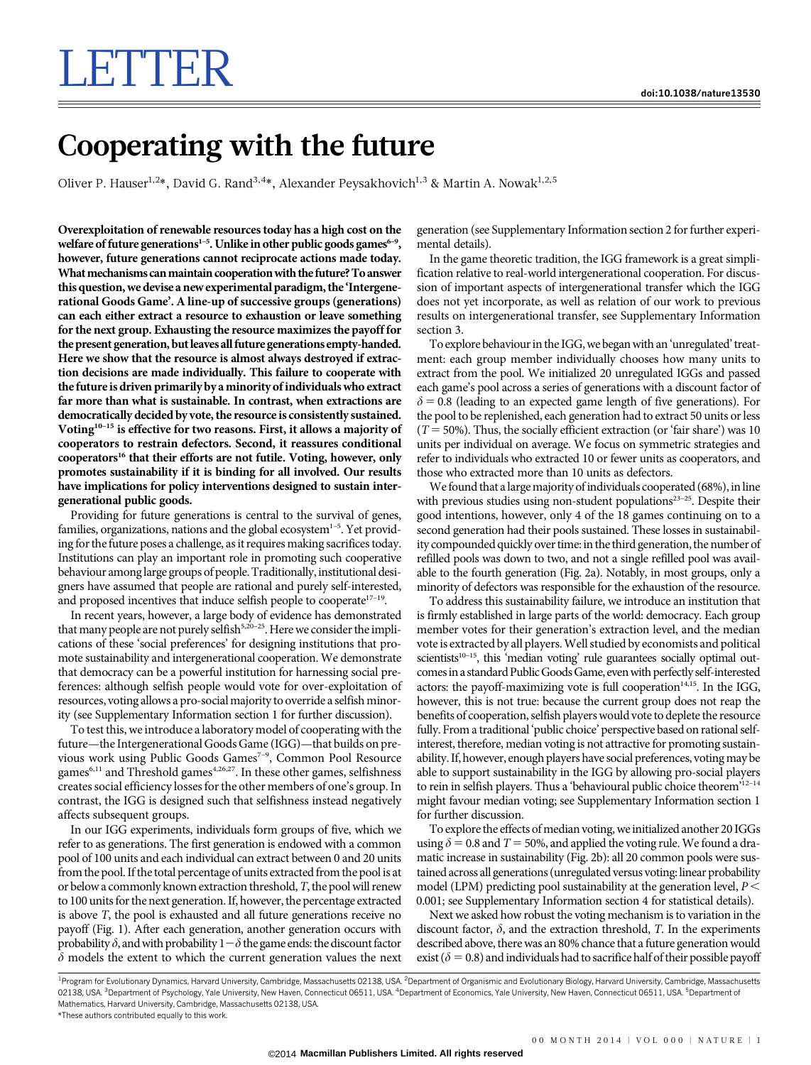## LETTER

## Cooperating with the future

Oliver P. Hauser<sup>1,2\*</sup>, David G. Rand<sup>3,4\*</sup>, Alexander Peysakhovich<sup>1,3</sup> & Martin A. Nowak<sup>1,2,5</sup>

Overexploitation of renewable resources today has a high cost on the welfare of future generations<sup>1-5</sup>. Unlike in other public goods games<sup>6-9</sup>, however, future generations cannot reciprocate actions made today. What mechanisms can maintain cooperation with the future? To answer this question, we devise a new experimental paradigm, the 'Intergenerational Goods Game'. A line-up of successive groups (generations) can each either extract a resource to exhaustion or leave something for the next group. Exhausting the resource maximizes the payoff for the present generation, but leaves all future generations empty-handed. Here we show that the resource is almost always destroyed if extraction decisions are made individually. This failure to cooperate with the future is driven primarily by a minority of individuals who extract far more than what is sustainable. In contrast, when extractions are democratically decided by vote, the resource is consistently sustained. Voting<sup>10-15</sup> is effective for two reasons. First, it allows a majority of cooperators to restrain defectors. Second, it reassures conditional cooperators<sup>16</sup> that their efforts are not futile. Voting, however, only promotes sustainability if it is binding for all involved. Our results have implications for policy interventions designed to sustain intergenerational public goods.

Providing for future generations is central to the survival of genes, families, organizations, nations and the global ecosystem $1-5$ . Yet providing for the future poses a challenge, as it requires making sacrifices today. Institutions can play an important role in promoting such cooperative behaviour among large groups of people.Traditionally, institutional designers have assumed that people are rational and purely self-interested, and proposed incentives that induce selfish people to cooperate<sup>17-19</sup>.

In recent years, however, a large body of evidence has demonstrated that many people are not purely selfish<sup>5,20–25</sup>. Here we consider the implications of these 'social preferences' for designing institutions that promote sustainability and intergenerational cooperation. We demonstrate that democracy can be a powerful institution for harnessing social preferences: although selfish people would vote for over-exploitation of resources, voting allows a pro-socialmajority to override a selfish minority (see Supplementary Information section 1 for further discussion).

To test this, we introduce a laboratory model of cooperating with the future—the Intergenerational Goods Game (IGG)—that builds on previous work using Public Goods Games<sup>7-9</sup>, Common Pool Resource games $^{6,11}$  and Threshold games $^{4,26,27}$ . In these other games, selfishness creates social efficiency losses for the other members of one's group. In contrast, the IGG is designed such that selfishness instead negatively affects subsequent groups.

In our IGG experiments, individuals form groups of five, which we refer to as generations. The first generation is endowed with a common pool of 100 units and each individual can extract between 0 and 20 units from the pool. If the total percentage of units extracted from the pool is at or below a commonly known extraction threshold, T, the pool will renew to 100 units for the next generation. If, however, the percentage extracted is above T, the pool is exhausted and all future generations receive no payoff (Fig. 1). After each generation, another generation occurs with probability  $\delta$ , and with probability  $1-\delta$  the game ends: the discount factor  $\delta$  models the extent to which the current generation values the next generation (see Supplementary Information section 2 for further experimental details).

In the game theoretic tradition, the IGG framework is a great simplification relative to real-world intergenerational cooperation. For discussion of important aspects of intergenerational transfer which the IGG does not yet incorporate, as well as relation of our work to previous results on intergenerational transfer, see Supplementary Information section 3.

To explore behaviour in the IGG, we beganwith an 'unregulated' treatment: each group member individually chooses how many units to extract from the pool. We initialized 20 unregulated IGGs and passed each game's pool across a series of generations with a discount factor of  $\delta$  = 0.8 (leading to an expected game length of five generations). For the pool to be replenished, each generation had to extract 50 units or less ( $T = 50\%$ ). Thus, the socially efficient extraction (or 'fair share') was 10 units per individual on average. We focus on symmetric strategies and refer to individuals who extracted 10 or fewer units as cooperators, and those who extracted more than 10 units as defectors.

We found that a large majority of individuals cooperated (68%), in line with previous studies using non-student populations<sup>23-25</sup>. Despite their good intentions, however, only 4 of the 18 games continuing on to a second generation had their pools sustained. These losses in sustainability compounded quickly over time: in the third generation, the number of refilled pools was down to two, and not a single refilled pool was available to the fourth generation (Fig. 2a). Notably, in most groups, only a minority of defectors was responsible for the exhaustion of the resource.

To address this sustainability failure, we introduce an institution that is firmly established in large parts of the world: democracy. Each group member votes for their generation's extraction level, and the median vote is extracted by all players.Well studied by economists and political scientists $10-15$ , this 'median voting' rule guarantees socially optimal outcomesin a standard Public Goods Game, evenwith perfectly self-interested actors: the payoff-maximizing vote is full cooperation $14,15$ . In the IGG, however, this is not true: because the current group does not reap the benefits of cooperation, selfish playerswould vote to deplete the resource fully. From a traditional 'public choice' perspective based on rational selfinterest, therefore, median voting is not attractive for promoting sustainability. If, however, enough players have social preferences, voting may be able to support sustainability in the IGG by allowing pro-social players to rein in selfish players. Thus a 'behavioural public choice theorem'<sup>12-14</sup> might favour median voting; see Supplementary Information section 1 for further discussion.

To explore the effects of median voting, we initialized another 20 IGGs using  $\delta$  = 0.8 and T = 50%, and applied the voting rule. We found a dramatic increase in sustainability (Fig. 2b): all 20 common pools were sustained across all generations (unregulated versus voting: linear probability model (LPM) predicting pool sustainability at the generation level,  $P$  < 0.001; see Supplementary Information section 4 for statistical details).

Next we asked how robust the voting mechanism is to variation in the discount factor,  $\delta$ , and the extraction threshold, T. In the experiments described above, there was an 80% chance that a future generation would exist ( $\delta = 0.8$ ) and individuals had to sacrifice half of their possible payoff

<sup>&</sup>lt;sup>1</sup>Program for Evolutionary Dynamics, Harvard University, Cambridge, Massachusetts 02138, USA. <sup>2</sup>Department of Organismic and Evolutionary Biology, Harvard University, Cambridge, Massachusetts 02138, USA. <sup>3</sup>Department of Psychology, Yale University, New Haven, Connecticut 06511, USA. <sup>4</sup>Department of Economics, Yale University, New Haven, Connecticut 06511, USA. <sup>5</sup>Department of Mathematics, Harvard University, Cambridge, Massachusetts 02138, USA.

<sup>\*</sup>These authors contributed equally to this work.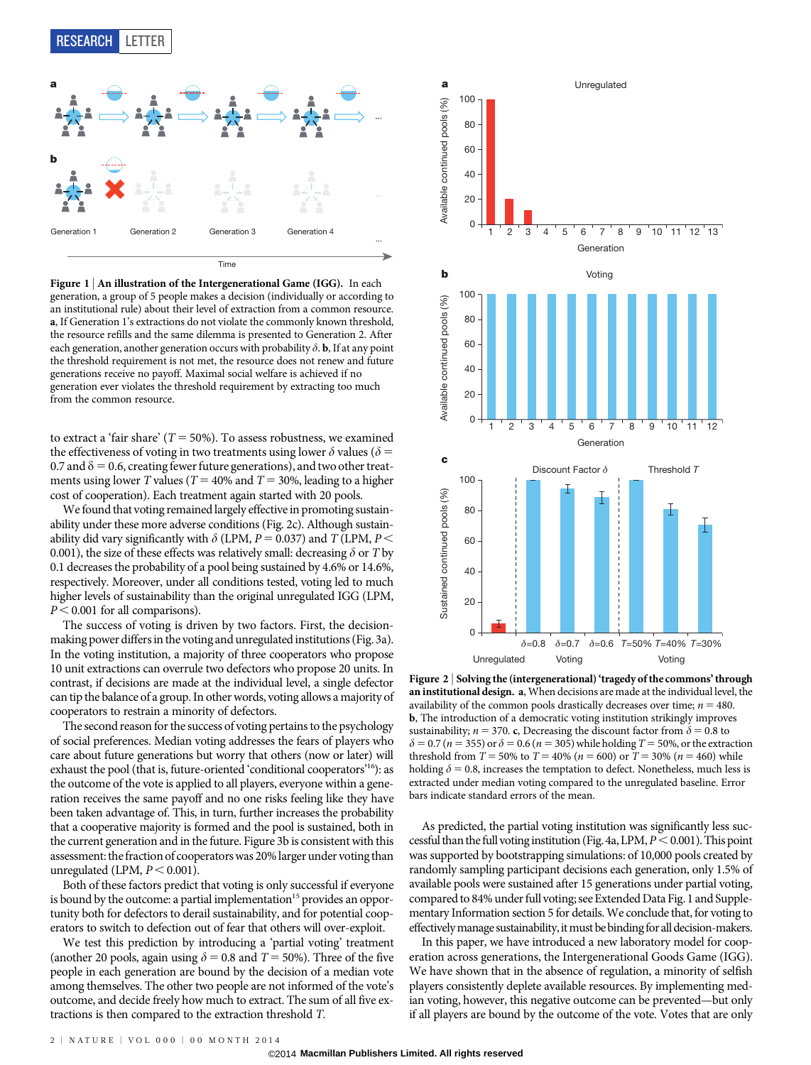RESEARCH LETTER



Figure 1 | An illustration of the Intergenerational Game (IGG). In each generation, a group of 5 people makes a decision (individually or according to an institutional rule) about their level of extraction from a common resource. a, If Generation 1's extractions do not violate the commonly known threshold, the resource refills and the same dilemma is presented to Generation 2. After each generation, another generation occurs with probability  $\delta$ . **b**, If at any point the threshold requirement is not met, the resource does not renew and future generations receive no payoff. Maximal social welfare is achieved if no generation ever violates the threshold requirement by extracting too much from the common resource.

to extract a 'fair share' ( $T = 50\%$ ). To assess robustness, we examined the effectiveness of voting in two treatments using lower  $\delta$  values ( $\delta$  = 0.7 and  $\delta$  = 0.6, creating fewer future generations), and two other treatments using lower T values ( $T = 40\%$  and  $T = 30\%$ , leading to a higher cost of cooperation). Each treatment again started with 20 pools.

We found that voting remained largely effective in promoting sustainability under these more adverse conditions (Fig. 2c). Although sustainability did vary significantly with  $\delta$  (LPM, P = 0.037) and T (LPM, P < 0.001), the size of these effects was relatively small: decreasing  $\delta$  or T by 0.1 decreases the probability of a pool being sustained by 4.6% or 14.6%, respectively. Moreover, under all conditions tested, voting led to much higher levels of sustainability than the original unregulated IGG (LPM,  $P < 0.001$  for all comparisons).

The success of voting is driven by two factors. First, the decisionmaking power differsin the voting and unregulated institutions (Fig. 3a). In the voting institution, a majority of three cooperators who propose 10 unit extractions can overrule two defectors who propose 20 units. In contrast, if decisions are made at the individual level, a single defector can tip the balance of a group. In other words, voting allows a majority of cooperators to restrain a minority of defectors.

The second reason for the success of voting pertains to the psychology of social preferences. Median voting addresses the fears of players who care about future generations but worry that others (now or later) will exhaust the pool (that is, future-oriented 'conditional cooperators'16): as the outcome of the vote is applied to all players, everyone within a generation receives the same payoff and no one risks feeling like they have been taken advantage of. This, in turn, further increases the probability that a cooperative majority is formed and the pool is sustained, both in the current generation and in the future. Figure 3b is consistent with this assessment: the fraction of cooperators was 20% larger under voting than unregulated (LPM,  $P < 0.001$ ).

Both of these factors predict that voting is only successful if everyone is bound by the outcome: a partial implementation<sup>15</sup> provides an opportunity both for defectors to derail sustainability, and for potential cooperators to switch to defection out of fear that others will over-exploit.

We test this prediction by introducing a 'partial voting' treatment (another 20 pools, again using  $\delta = 0.8$  and  $T = 50\%$ ). Three of the five people in each generation are bound by the decision of a median vote among themselves. The other two people are not informed of the vote's outcome, and decide freely how much to extract. The sum of all five extractions is then compared to the extraction threshold T.



Figure 2 | Solving the (intergenerational) 'tragedy of the commons' through an institutional design. a, When decisions are made at the individual level, the availability of the common pools drastically decreases over time;  $n = 480$ . b, The introduction of a democratic voting institution strikingly improves sustainability;  $n = 370$ . c, Decreasing the discount factor from  $\delta = 0.8$  to  $\delta$  = 0.7 (*n* = 355) or  $\delta$  = 0.6 (*n* = 305) while holding *T* = 50%, or the extraction threshold from  $T = 50\%$  to  $T = 40\%$  ( $n = 600$ ) or  $T = 30\%$  ( $n = 460$ ) while holding  $\delta$  = 0.8, increases the temptation to defect. Nonetheless, much less is extracted under median voting compared to the unregulated baseline. Error bars indicate standard errors of the mean.

As predicted, the partial voting institution was significantly less successful than the full voting institution (Fig. 4a, LPM,  $P < 0.001$ ). This point was supported by bootstrapping simulations: of 10,000 pools created by randomly sampling participant decisions each generation, only 1.5% of available pools were sustained after 15 generations under partial voting, compared to 84% under full voting; see Extended Data Fig. 1 and Supplementary Information section 5 for details. We conclude that, for voting to effectively manage sustainability, it must be binding for all decision-makers.

In this paper, we have introduced a new laboratory model for cooperation across generations, the Intergenerational Goods Game (IGG). We have shown that in the absence of regulation, a minority of selfish players consistently deplete available resources. By implementing median voting, however, this negative outcome can be prevented—but only if all players are bound by the outcome of the vote. Votes that are only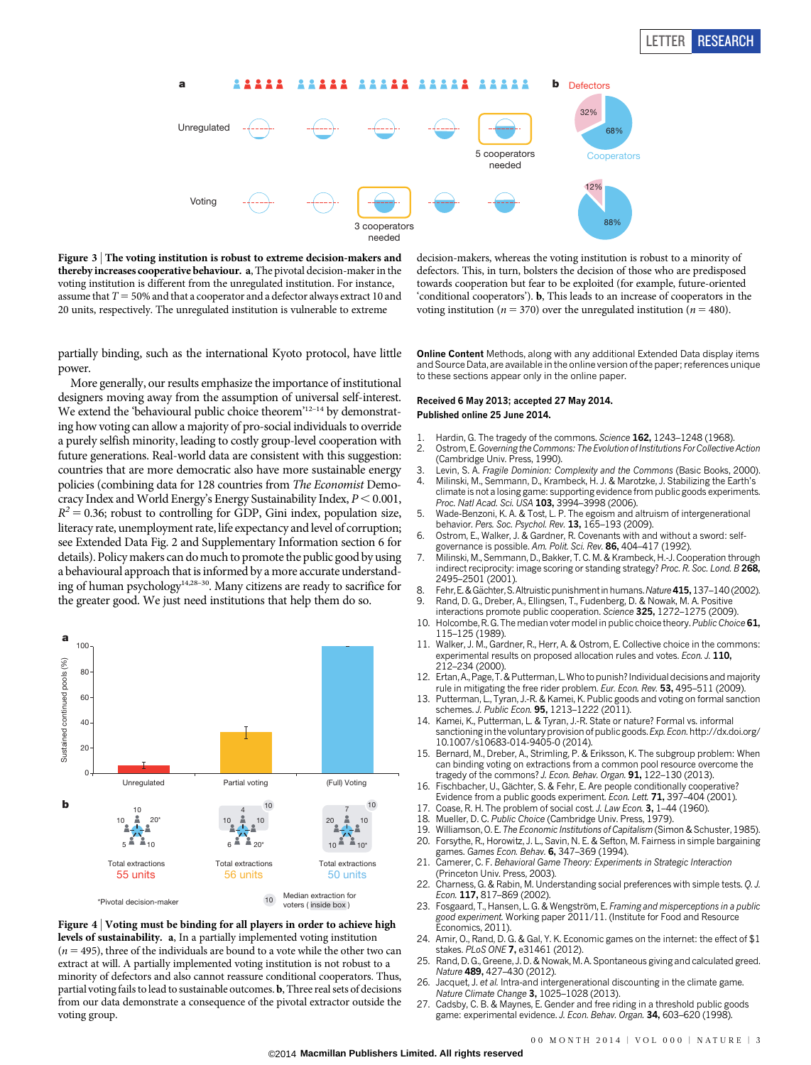

Figure 3 <sup>|</sup> The voting institution is robust to extreme decision-makers and thereby increases cooperative behaviour. a, The pivotal decision-maker in the voting institution is different from the unregulated institution. For instance, assume that  $T = 50\%$  and that a cooperator and a defector always extract 10 and 20 units, respectively. The unregulated institution is vulnerable to extreme

decision-makers, whereas the voting institution is robust to a minority of defectors. This, in turn, bolsters the decision of those who are predisposed towards cooperation but fear to be exploited (for example, future-oriented 'conditional cooperators'). b, This leads to an increase of cooperators in the voting institution ( $n = 370$ ) over the unregulated institution ( $n = 480$ ).

partially binding, such as the international Kyoto protocol, have little power.

More generally, our results emphasize the importance of institutional designers moving away from the assumption of universal self-interest. We extend the 'behavioural public choice theorem'<sup>12-14</sup> by demonstrating how voting can allow a majority of pro-social individuals to override a purely selfish minority, leading to costly group-level cooperation with future generations. Real-world data are consistent with this suggestion: countries that are more democratic also have more sustainable energy policies (combining data for 128 countries from The Economist Democracy Index and World Energy's Energy Sustainability Index,  $P < 0.001$ ,  $R^2$  = 0.36; robust to controlling for GDP, Gini index, population size, literacy rate, unemployment rate, life expectancy and level of corruption; see Extended Data Fig. 2 and Supplementary Information section 6 for details). Policy makers can do much to promote the public good by using a behavioural approach that is informed by a more accurate understanding of human psychology14,28–30. Many citizens are ready to sacrifice for the greater good. We just need institutions that help them do so.



Figure 4 <sup>|</sup> Voting must be binding for all players in order to achieve high levels of sustainability. a, In a partially implemented voting institution  $(n = 495)$ , three of the individuals are bound to a vote while the other two can extract at will. A partially implemented voting institution is not robust to a minority of defectors and also cannot reassure conditional cooperators. Thus, partial voting fails to lead to sustainable outcomes. b, Three real sets of decisions from our data demonstrate a consequence of the pivotal extractor outside the voting group.

Online Content Methods, along with any additional Extended Data display items and Source Data, are available in the [online version of the paper](www.nature.com/doifinder/10.1038/nature13530); references unique to these sections appear only in the online paper.

## Received 6 May 2013; accepted 27 May 2014. Published online 25 June 2014.

- 1. Hardin, G. The tragedy of the commons. Science 162, 1243–1248 (1968).<br>2. Ostrom. E. Governing the Commons: The Evolution of Institutions For Collective
- Ostrom, E. Governing the Commons: The Evolution of Institutions For Collective Action (Cambridge Univ. Press, 1990).
- 3. Levin, S. A. Fragile Dominion: Complexity and the Commons (Basic Books, 2000).
- 4. Milinski, M., Semmann, D., Krambeck, H. J. & Marotzke, J. Stabilizing the Earth's climate is not a losing game: supporting evidence from public goods experiments. Proc. Natl Acad. Sci. USA 103, 3994-3998 (2006).
- 5. Wade-Benzoni, K. A. & Tost, L. P. The egoism and altruism of intergenerational behavior. Pers. Soc. Psychol. Rev. 13, 165-193 (2009).
- 6. Ostrom, E., Walker, J. & Gardner, R. Covenants with and without a sword: selfgovernance is possible. Am. Polit. Sci. Rev. 86, 404–417 (1992).
- 7. Milinski, M., Semmann, D., Bakker, T. C. M. & Krambeck, H.-J. Cooperation through indirect reciprocity: image scoring or standing strategy? Proc. R. Soc. Lond. B 268, 2495–2501 (2001).
- 8. Fehr, E. & Gächter, S. Altruistic punishment in humans. Nature 415, 137-140 (2002). 9. Rand, D. G., Dreber, A., Ellingsen, T., Fudenberg, D. & Nowak, M. A. Positive
- interactions promote public cooperation. Science 325, 1272–1275 (2009).
- 10. Holcombe, R. G. The median voter model in public choice theory. Public Choice 61, 115–125 (1989).
- 11. Walker, J. M., Gardner, R., Herr, A. & Ostrom, E. Collective choice in the commons: experimental results on proposed allocation rules and votes. Econ. J. 110, 212–234 (2000).
- 12. Ertan, A., Page, T. & Putterman, L. Who to punish? Individual decisions and majority rule in mitigating the free rider problem. Eur. Econ. Rev. 53, 495-511 (2009).
- 13. Putterman, L., Tyran, J.-R. & Kamei, K. Public goods and voting on formal sanction schemes. J. Public Econ. 95, 1213-1222 (2011).
- 14. Kamei, K., Putterman, L. & Tyran, J.-R. State or nature? Formal vs. informal sanctioning in the voluntary provision of public goods. Exp. Econ.[http://dx.doi.org/](http://dx.doi.org/10.1007/s10683-014-9405-0) [10.1007/s10683-014-9405-0](http://dx.doi.org/10.1007/s10683-014-9405-0) (2014).
- 15. Bernard, M., Dreber, A., Strimling, P. & Eriksson, K. The subgroup problem: When can binding voting on extractions from a common pool resource overcome the tragedy of the commons? J. Econ. Behav. Organ. 91, 122-130 (2013)
- 16. Fischbacher, U., Gächter, S. & Fehr, E. Are people conditionally cooperative?
- Evidence from a public goods experiment. Econ. Lett. 71, 397–404 (2001).
- 17. Coase, R. H. The problem of social cost. J. Law Econ. 3, 1-44 (1960).
- 18. Mueller, D. C. Public Choice (Cambridge Univ. Press, 1979).<br>19. Williamson. O. E. The Economic Institutions of Capitalism (Sim
- Williamson, O. E. The Economic Institutions of Capitalism (Simon & Schuster, 1985).
- 20. Forsythe, R., Horowitz, J. L., Savin, N. E. & Sefton, M. Fairness in simple bargaining games. Games Econ. Behav. 6, 347-369 (1994).
- Camerer, C. F. Behavioral Game Theory: Experiments in Strategic Interaction (Princeton Univ. Press, 2003).
- 22. Charness, G. & Rabin, M. Understanding social preferences with simple tests. Q. J. Econ. 117, 817–869 (2002).
- 23. Fosgaard, T., Hansen, L. G. & Wengström, E. Framing and misperceptions in a public good experiment. Working paper 2011/11. (Institute for Food and Resource Economics, 2011).
- 24. Amir, O., Rand, D. G. & Gal, Y. K. Economic games on the internet: the effect of \$1 stakes. PLoS ONE 7, e31461 (2012).
- 25. Rand, D. G., Greene, J. D. & Nowak, M. A. Spontaneous giving and calculated greed. Nature 489, 427–430 (2012).
- 26. Jacquet, J. et al. Intra-and intergenerational discounting in the climate game. Nature Climate Change 3, 1025–1028 (2013).
- 27. Cadsby, C. B. & Maynes, E. Gender and free riding in a threshold public goods game: experimental evidence. J. Econ. Behav. Organ. 34, 603-620 (1998).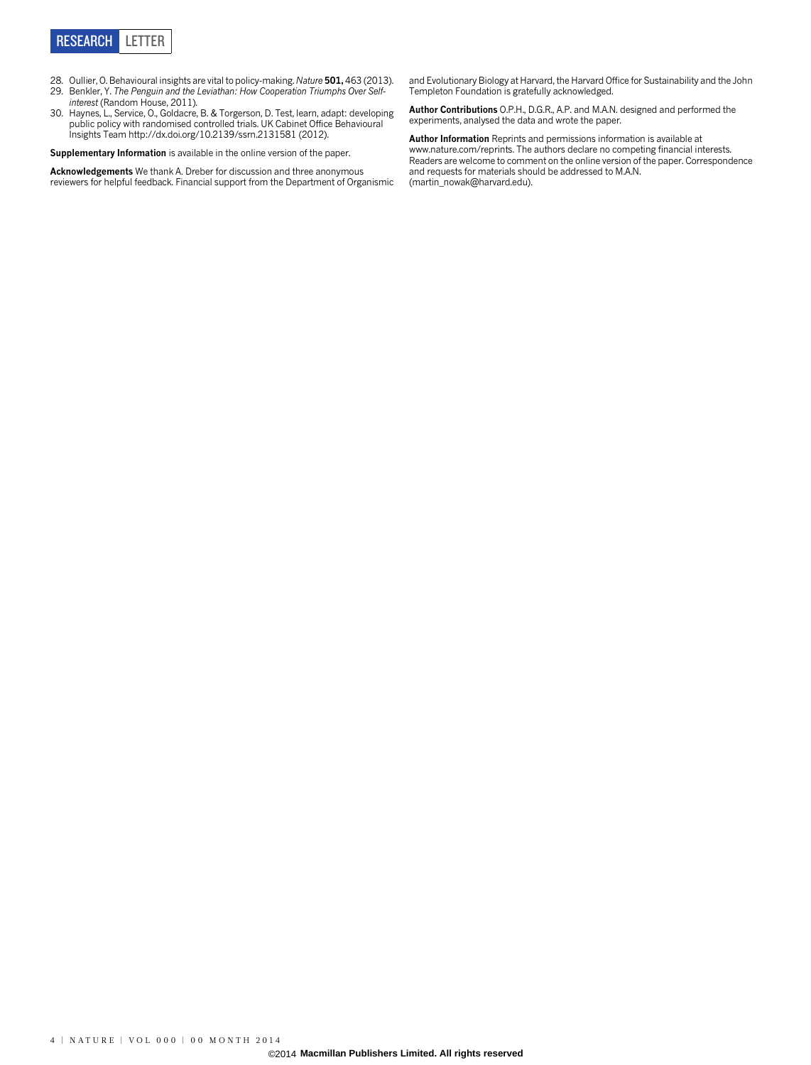

- 28. Oullier, O. Behavioural insights are vital to policy-making. Nature 501, 463 (2013).
- 29. Benkler, Y. The Penguin and the Leviathan: How Cooperation Triumphs Over Selfinterest (Random House, 2011).
- 30. Haynes, L., Service, O., Goldacre, B. & Torgerson, D. Test, learn, adapt: developing public policy with randomised controlled trials. UK Cabinet Office Behavioural Insights Team<http://dx.doi.org/10.2139/ssrn.2131581> (2012).

Supplementary Information is available in the [online version of the paper.](www.nature.com/doifinder/10.1038/nature13530)

**Acknowledgements** We thank A. Dreber for discussion and three anonymous<br>reviewers for helpful feedback. Financial support from the Department of Organismic

and Evolutionary Biology at Harvard, the Harvard Office for Sustainability and the John Templeton Foundation is gratefully acknowledged.

Author Contributions O.P.H., D.G.R., A.P. and M.A.N. designed and performed the experiments, analysed the data and wrote the paper.

Author Information Reprints and permissions information is available at <www.nature.com/reprints>. The authors declare no competing financial interests. Readers are welcome to comment on the [online version of the paper.](www.nature.com/doifinder/10.1038/nature13530) Correspondence and requests for materials should be addressed to M.A.N. [\(martin\\_nowak@harvard.edu\).](mailto:martin_nowak@harvard.edu)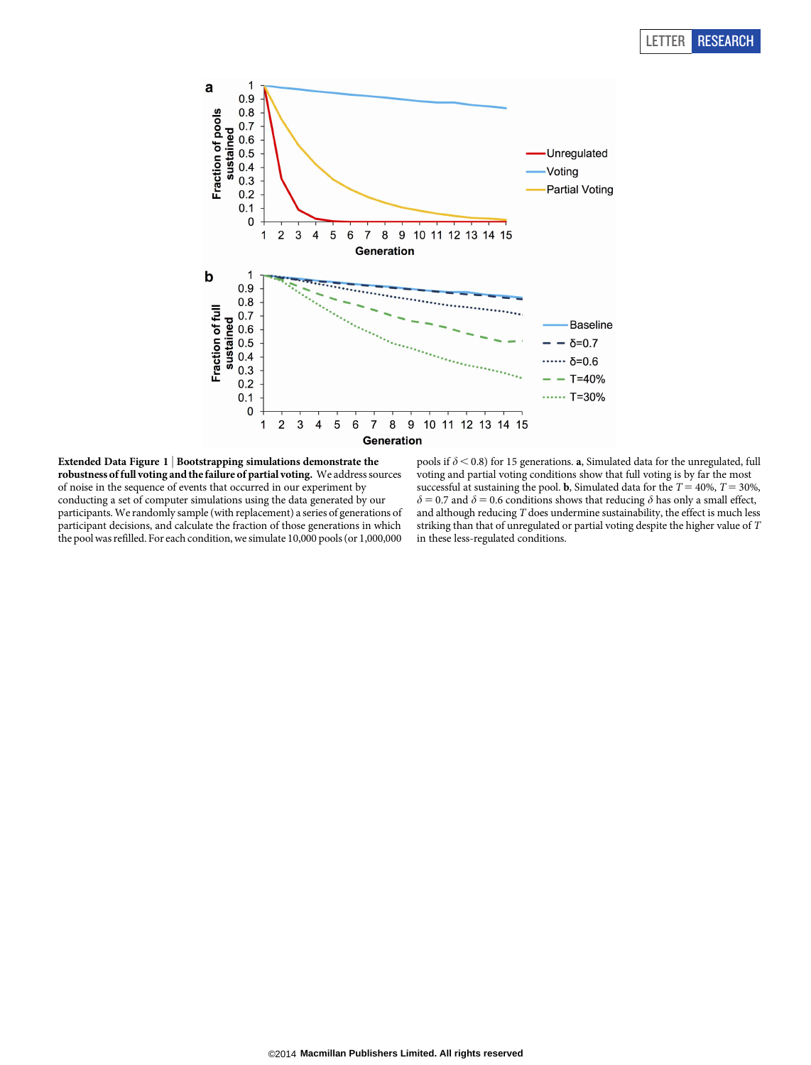

Extended Data Figure 1 <sup>|</sup> Bootstrapping simulations demonstrate the robustness of full voting and the failure of partial voting. We address sources of noise in the sequence of events that occurred in our experiment by conducting a set of computer simulations using the data generated by our participants. We randomly sample (with replacement) a series of generations of participant decisions, and calculate the fraction of those generations in which the pool was refilled. For each condition, we simulate 10,000 pools (or 1,000,000

pools if  $\delta$  < 0.8) for 15 generations.  ${\bf a},$  Simulated data for the unregulated, full voting and partial voting conditions show that full voting is by far the most successful at sustaining the pool. **b**, Simulated data for the  $T = 40\%, T = 30\%,$  $\delta$  = 0.7 and  $\delta$  = 0.6 conditions shows that reducing  $\delta$  has only a small effect, and although reducing  $T$  does undermine sustainability, the effect is much less striking than that of unregulated or partial voting despite the higher value of T in these less-regulated conditions.